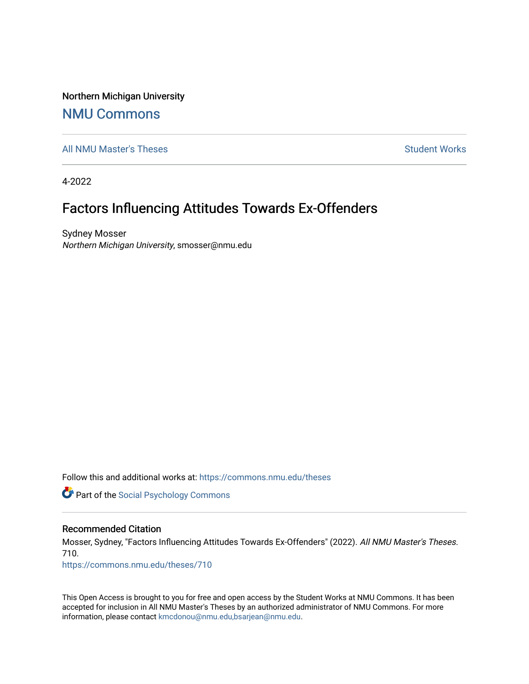Northern Michigan University

## [NMU Commons](https://commons.nmu.edu/)

[All NMU Master's Theses](https://commons.nmu.edu/theses) [Student Works](https://commons.nmu.edu/student_works) and Student Works Student Works Student Works

4-2022

# Factors Influencing Attitudes Towards Ex-Offenders

Sydney Mosser Northern Michigan University, smosser@nmu.edu

Follow this and additional works at: [https://commons.nmu.edu/theses](https://commons.nmu.edu/theses?utm_source=commons.nmu.edu%2Ftheses%2F710&utm_medium=PDF&utm_campaign=PDFCoverPages)

**Part of the Social Psychology Commons** 

#### Recommended Citation

Mosser, Sydney, "Factors Influencing Attitudes Towards Ex-Offenders" (2022). All NMU Master's Theses. 710.

[https://commons.nmu.edu/theses/710](https://commons.nmu.edu/theses/710?utm_source=commons.nmu.edu%2Ftheses%2F710&utm_medium=PDF&utm_campaign=PDFCoverPages) 

This Open Access is brought to you for free and open access by the Student Works at NMU Commons. It has been accepted for inclusion in All NMU Master's Theses by an authorized administrator of NMU Commons. For more information, please contact [kmcdonou@nmu.edu,bsarjean@nmu.edu](mailto:kmcdonou@nmu.edu,bsarjean@nmu.edu).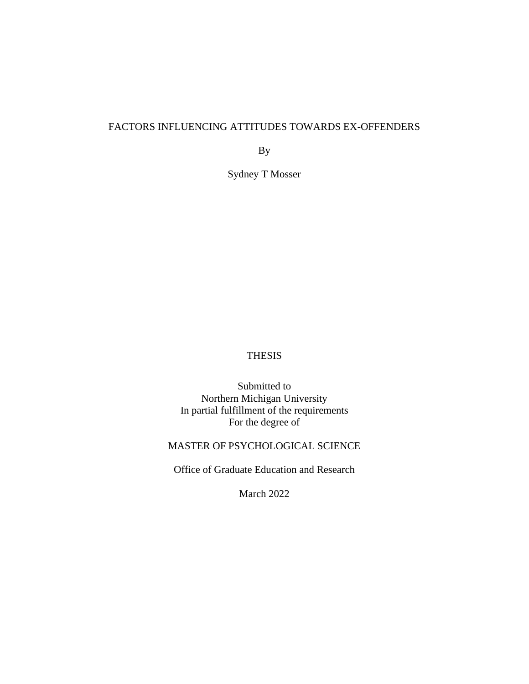## FACTORS INFLUENCING ATTITUDES TOWARDS EX-OFFENDERS

By

Sydney T Mosser

## THESIS

Submitted to Northern Michigan University In partial fulfillment of the requirements For the degree of

## MASTER OF PSYCHOLOGICAL SCIENCE

Office of Graduate Education and Research

March 2022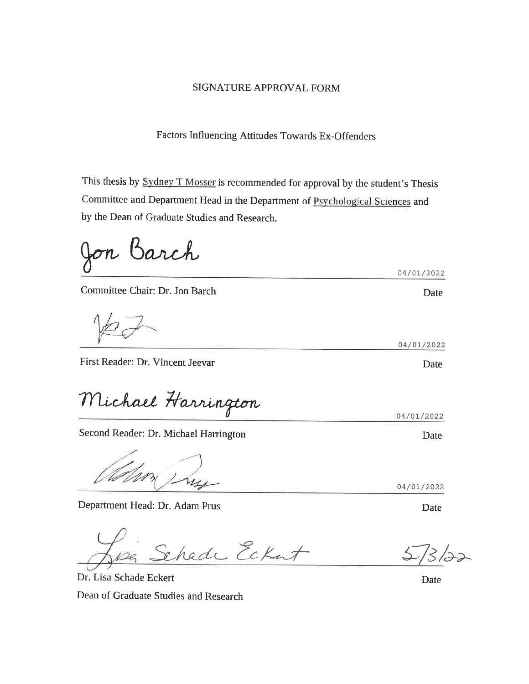## **SIGNATURE APPROVAL FORM**

Factors Influencing Attitudes Towards Ex-Offenders

This thesis by **Sydney T Mosser** is recommended for approval by the student's Thesis Committee and Department Head in the Department of Psychological Sciences and by the Dean of Graduate Studies and Research.

Barch  $\bigcup \sigma n$ 

Committee Chair: Dr. Jon Barch

First Reader: Dr. Vincent Jeevar

Michael Harrington

Second Reader: Dr. Michael Harrington

Department Head: Dr. Adam Prus

chade Eckat

Dr. Lisa Schade Eckert Dean of Graduate Studies and Research

**Date** 

04/01/2022

04/01/2022

**Date** 

Date

04/01/2022

Date

04/01/2022

**Date**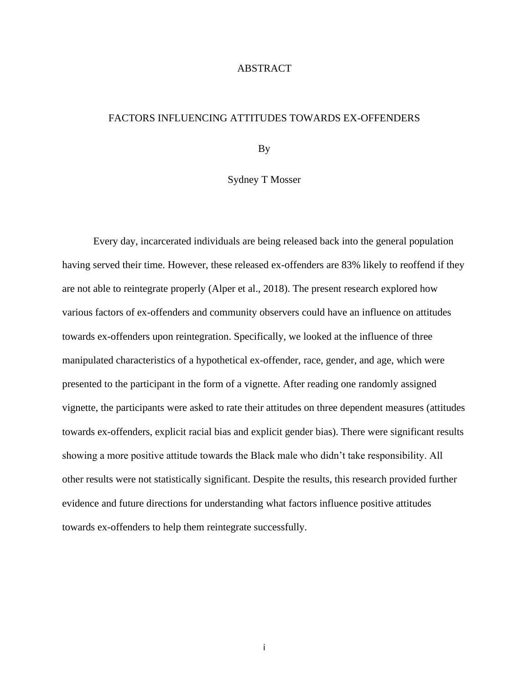#### ABSTRACT

#### FACTORS INFLUENCING ATTITUDES TOWARDS EX-OFFENDERS

By

Sydney T Mosser

Every day, incarcerated individuals are being released back into the general population having served their time. However, these released ex-offenders are 83% likely to reoffend if they are not able to reintegrate properly (Alper et al., 2018). The present research explored how various factors of ex-offenders and community observers could have an influence on attitudes towards ex-offenders upon reintegration. Specifically, we looked at the influence of three manipulated characteristics of a hypothetical ex-offender, race, gender, and age, which were presented to the participant in the form of a vignette. After reading one randomly assigned vignette, the participants were asked to rate their attitudes on three dependent measures (attitudes towards ex-offenders, explicit racial bias and explicit gender bias). There were significant results showing a more positive attitude towards the Black male who didn't take responsibility. All other results were not statistically significant. Despite the results, this research provided further evidence and future directions for understanding what factors influence positive attitudes towards ex-offenders to help them reintegrate successfully.

i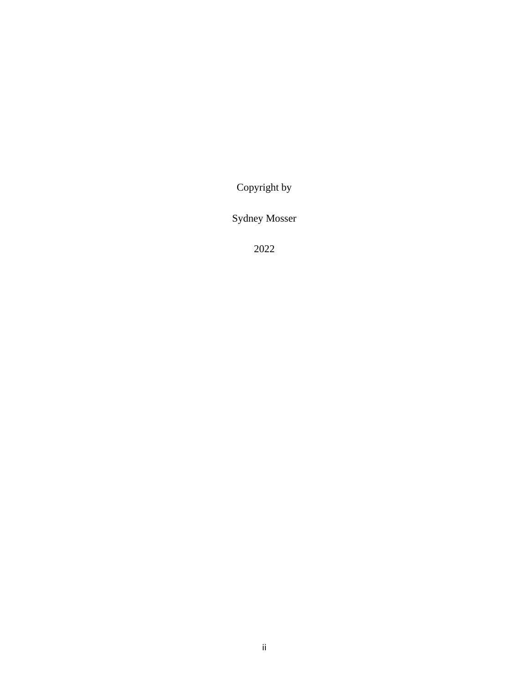Copyright by

Sydney Mosser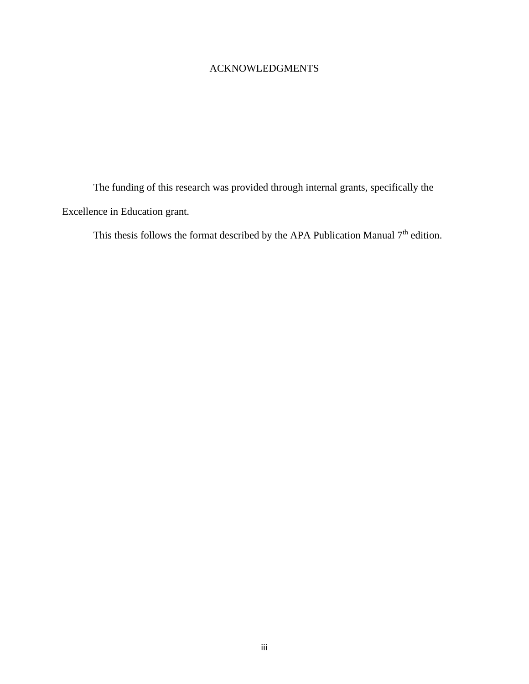## ACKNOWLEDGMENTS

The funding of this research was provided through internal grants, specifically the Excellence in Education grant.

This thesis follows the format described by the APA Publication Manual  $7<sup>th</sup>$  edition.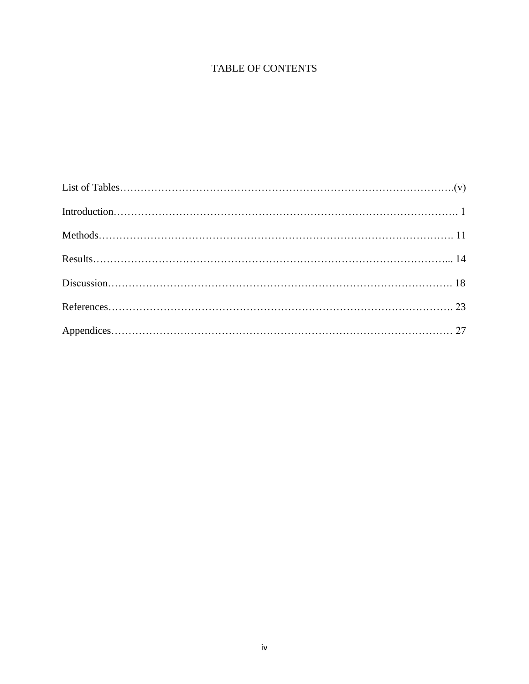## TABLE OF CONTENTS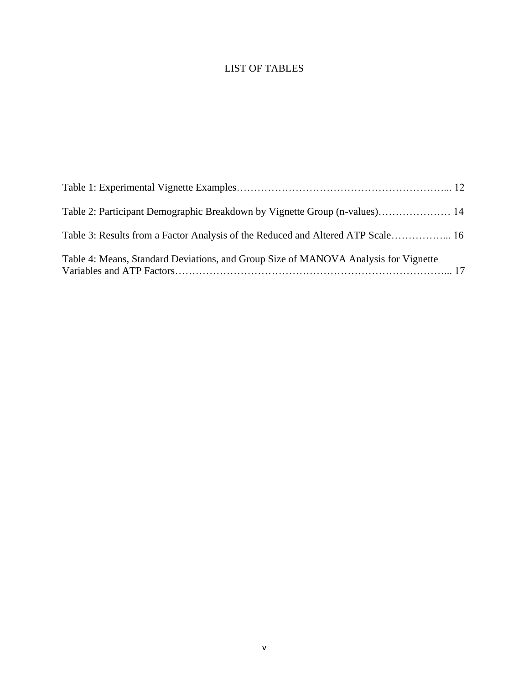## LIST OF TABLES

| Table 2: Participant Demographic Breakdown by Vignette Group (n-values) 14          |  |
|-------------------------------------------------------------------------------------|--|
| Table 3: Results from a Factor Analysis of the Reduced and Altered ATP Scale 16     |  |
| Table 4: Means, Standard Deviations, and Group Size of MANOVA Analysis for Vignette |  |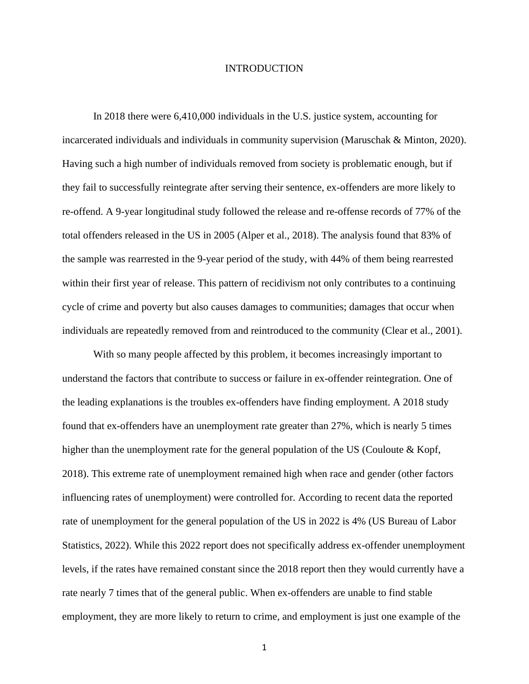#### **INTRODUCTION**

In 2018 there were 6,410,000 individuals in the U.S. justice system, accounting for incarcerated individuals and individuals in community supervision (Maruschak & Minton, 2020). Having such a high number of individuals removed from society is problematic enough, but if they fail to successfully reintegrate after serving their sentence, ex-offenders are more likely to re-offend. A 9-year longitudinal study followed the release and re-offense records of 77% of the total offenders released in the US in 2005 (Alper et al., 2018). The analysis found that 83% of the sample was rearrested in the 9-year period of the study, with 44% of them being rearrested within their first year of release. This pattern of recidivism not only contributes to a continuing cycle of crime and poverty but also causes damages to communities; damages that occur when individuals are repeatedly removed from and reintroduced to the community (Clear et al., 2001).

With so many people affected by this problem, it becomes increasingly important to understand the factors that contribute to success or failure in ex-offender reintegration. One of the leading explanations is the troubles ex-offenders have finding employment. A 2018 study found that ex-offenders have an unemployment rate greater than 27%, which is nearly 5 times higher than the unemployment rate for the general population of the US (Couloute & Kopf, 2018). This extreme rate of unemployment remained high when race and gender (other factors influencing rates of unemployment) were controlled for. According to recent data the reported rate of unemployment for the general population of the US in 2022 is 4% (US Bureau of Labor Statistics, 2022). While this 2022 report does not specifically address ex-offender unemployment levels, if the rates have remained constant since the 2018 report then they would currently have a rate nearly 7 times that of the general public. When ex-offenders are unable to find stable employment, they are more likely to return to crime, and employment is just one example of the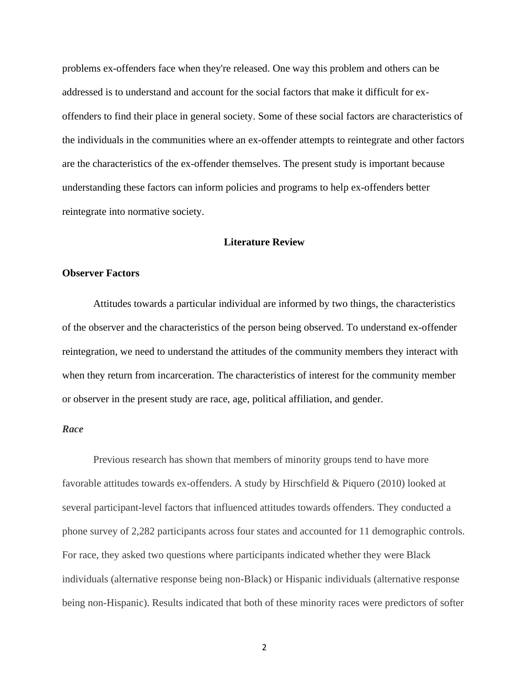problems ex-offenders face when they're released. One way this problem and others can be addressed is to understand and account for the social factors that make it difficult for exoffenders to find their place in general society. Some of these social factors are characteristics of the individuals in the communities where an ex-offender attempts to reintegrate and other factors are the characteristics of the ex-offender themselves. The present study is important because understanding these factors can inform policies and programs to help ex-offenders better reintegrate into normative society.

## **Literature Review**

#### **Observer Factors**

Attitudes towards a particular individual are informed by two things, the characteristics of the observer and the characteristics of the person being observed. To understand ex-offender reintegration, we need to understand the attitudes of the community members they interact with when they return from incarceration. The characteristics of interest for the community member or observer in the present study are race, age, political affiliation, and gender.

#### *Race*

Previous research has shown that members of minority groups tend to have more favorable attitudes towards ex-offenders. A study by Hirschfield & Piquero (2010) looked at several participant-level factors that influenced attitudes towards offenders. They conducted a phone survey of 2,282 participants across four states and accounted for 11 demographic controls. For race, they asked two questions where participants indicated whether they were Black individuals (alternative response being non-Black) or Hispanic individuals (alternative response being non-Hispanic). Results indicated that both of these minority races were predictors of softer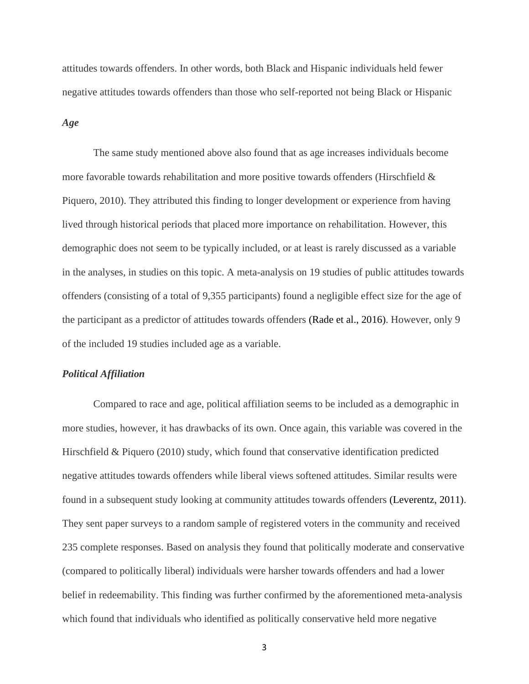attitudes towards offenders. In other words, both Black and Hispanic individuals held fewer negative attitudes towards offenders than those who self-reported not being Black or Hispanic

#### *Age*

The same study mentioned above also found that as age increases individuals become more favorable towards rehabilitation and more positive towards offenders (Hirschfield  $\&$ Piquero, 2010). They attributed this finding to longer development or experience from having lived through historical periods that placed more importance on rehabilitation. However, this demographic does not seem to be typically included, or at least is rarely discussed as a variable in the analyses, in studies on this topic. A meta-analysis on 19 studies of public attitudes towards offenders (consisting of a total of 9,355 participants) found a negligible effect size for the age of the participant as a predictor of attitudes towards offenders (Rade et al., 2016). However, only 9 of the included 19 studies included age as a variable.

#### *Political Affiliation*

Compared to race and age, political affiliation seems to be included as a demographic in more studies, however, it has drawbacks of its own. Once again, this variable was covered in the Hirschfield & Piquero (2010) study, which found that conservative identification predicted negative attitudes towards offenders while liberal views softened attitudes. Similar results were found in a subsequent study looking at community attitudes towards offenders (Leverentz, 2011). They sent paper surveys to a random sample of registered voters in the community and received 235 complete responses. Based on analysis they found that politically moderate and conservative (compared to politically liberal) individuals were harsher towards offenders and had a lower belief in redeemability. This finding was further confirmed by the aforementioned meta-analysis which found that individuals who identified as politically conservative held more negative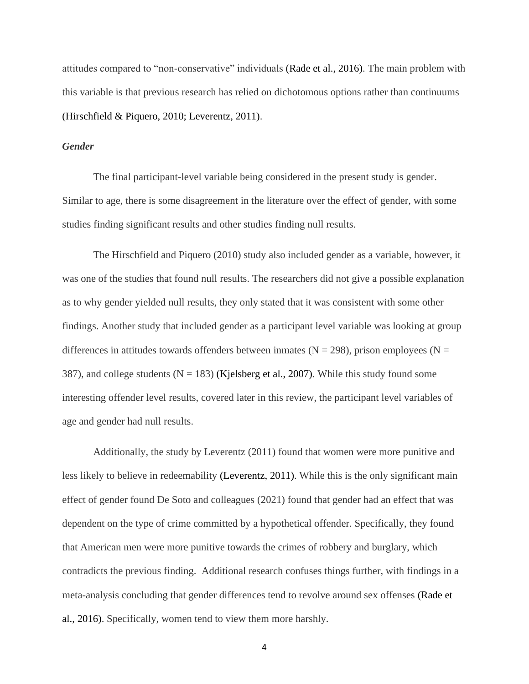attitudes compared to "non-conservative" individuals (Rade et al., 2016). The main problem with this variable is that previous research has relied on dichotomous options rather than continuums (Hirschfield & Piquero, 2010; Leverentz, 2011).

### *Gender*

The final participant-level variable being considered in the present study is gender. Similar to age, there is some disagreement in the literature over the effect of gender, with some studies finding significant results and other studies finding null results.

The Hirschfield and Piquero (2010) study also included gender as a variable, however, it was one of the studies that found null results. The researchers did not give a possible explanation as to why gender yielded null results, they only stated that it was consistent with some other findings. Another study that included gender as a participant level variable was looking at group differences in attitudes towards offenders between inmates ( $N = 298$ ), prison employees ( $N =$ 387), and college students ( $N = 183$ ) (Kjelsberg et al., 2007). While this study found some interesting offender level results, covered later in this review, the participant level variables of age and gender had null results.

Additionally, the study by Leverentz (2011) found that women were more punitive and less likely to believe in redeemability (Leverentz, 2011). While this is the only significant main effect of gender found De Soto and colleagues (2021) found that gender had an effect that was dependent on the type of crime committed by a hypothetical offender. Specifically, they found that American men were more punitive towards the crimes of robbery and burglary, which contradicts the previous finding. Additional research confuses things further, with findings in a meta-analysis concluding that gender differences tend to revolve around sex offenses (Rade et al., 2016). Specifically, women tend to view them more harshly.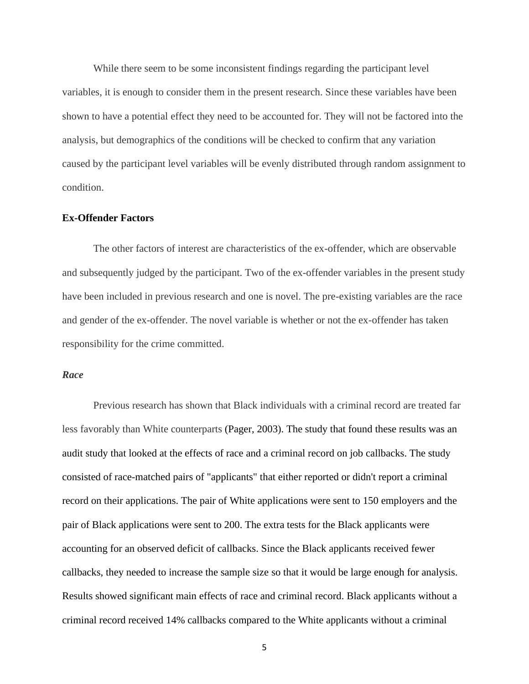While there seem to be some inconsistent findings regarding the participant level variables, it is enough to consider them in the present research. Since these variables have been shown to have a potential effect they need to be accounted for. They will not be factored into the analysis, but demographics of the conditions will be checked to confirm that any variation caused by the participant level variables will be evenly distributed through random assignment to condition.

#### **Ex-Offender Factors**

The other factors of interest are characteristics of the ex-offender, which are observable and subsequently judged by the participant. Two of the ex-offender variables in the present study have been included in previous research and one is novel. The pre-existing variables are the race and gender of the ex-offender. The novel variable is whether or not the ex-offender has taken responsibility for the crime committed.

#### *Race*

Previous research has shown that Black individuals with a criminal record are treated far less favorably than White counterparts (Pager, 2003). The study that found these results was an audit study that looked at the effects of race and a criminal record on job callbacks. The study consisted of race-matched pairs of "applicants" that either reported or didn't report a criminal record on their applications. The pair of White applications were sent to 150 employers and the pair of Black applications were sent to 200. The extra tests for the Black applicants were accounting for an observed deficit of callbacks. Since the Black applicants received fewer callbacks, they needed to increase the sample size so that it would be large enough for analysis. Results showed significant main effects of race and criminal record. Black applicants without a criminal record received 14% callbacks compared to the White applicants without a criminal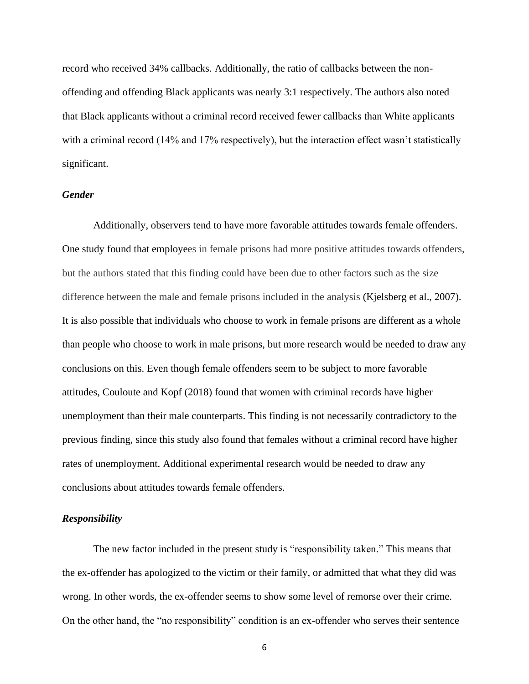record who received 34% callbacks. Additionally, the ratio of callbacks between the nonoffending and offending Black applicants was nearly 3:1 respectively. The authors also noted that Black applicants without a criminal record received fewer callbacks than White applicants with a criminal record (14% and 17% respectively), but the interaction effect wasn't statistically significant.

#### *Gender*

Additionally, observers tend to have more favorable attitudes towards female offenders. One study found that employees in female prisons had more positive attitudes towards offenders, but the authors stated that this finding could have been due to other factors such as the size difference between the male and female prisons included in the analysis (Kjelsberg et al., 2007). It is also possible that individuals who choose to work in female prisons are different as a whole than people who choose to work in male prisons, but more research would be needed to draw any conclusions on this. Even though female offenders seem to be subject to more favorable attitudes, Couloute and Kopf (2018) found that women with criminal records have higher unemployment than their male counterparts. This finding is not necessarily contradictory to the previous finding, since this study also found that females without a criminal record have higher rates of unemployment. Additional experimental research would be needed to draw any conclusions about attitudes towards female offenders.

#### *Responsibility*

The new factor included in the present study is "responsibility taken." This means that the ex-offender has apologized to the victim or their family, or admitted that what they did was wrong. In other words, the ex-offender seems to show some level of remorse over their crime. On the other hand, the "no responsibility" condition is an ex-offender who serves their sentence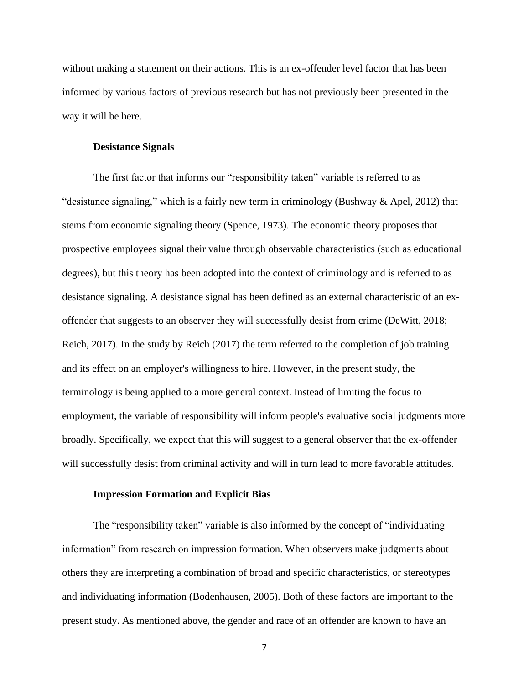without making a statement on their actions. This is an ex-offender level factor that has been informed by various factors of previous research but has not previously been presented in the way it will be here.

#### **Desistance Signals**

The first factor that informs our "responsibility taken" variable is referred to as "desistance signaling," which is a fairly new term in criminology (Bushway & Apel, 2012) that stems from economic signaling theory (Spence, 1973). The economic theory proposes that prospective employees signal their value through observable characteristics (such as educational degrees), but this theory has been adopted into the context of criminology and is referred to as desistance signaling. A desistance signal has been defined as an external characteristic of an exoffender that suggests to an observer they will successfully desist from crime (DeWitt, 2018; Reich, 2017). In the study by Reich (2017) the term referred to the completion of job training and its effect on an employer's willingness to hire. However, in the present study, the terminology is being applied to a more general context. Instead of limiting the focus to employment, the variable of responsibility will inform people's evaluative social judgments more broadly. Specifically, we expect that this will suggest to a general observer that the ex-offender will successfully desist from criminal activity and will in turn lead to more favorable attitudes.

#### **Impression Formation and Explicit Bias**

The "responsibility taken" variable is also informed by the concept of "individuating information" from research on impression formation. When observers make judgments about others they are interpreting a combination of broad and specific characteristics, or stereotypes and individuating information (Bodenhausen, 2005). Both of these factors are important to the present study. As mentioned above, the gender and race of an offender are known to have an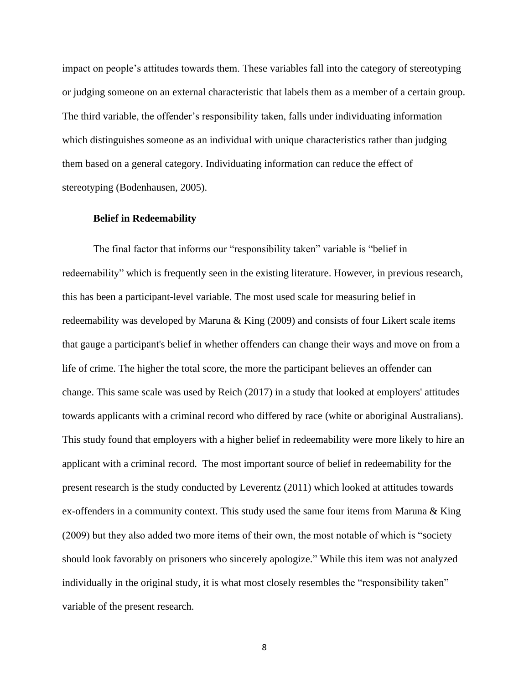impact on people's attitudes towards them. These variables fall into the category of stereotyping or judging someone on an external characteristic that labels them as a member of a certain group. The third variable, the offender's responsibility taken, falls under individuating information which distinguishes someone as an individual with unique characteristics rather than judging them based on a general category. Individuating information can reduce the effect of stereotyping (Bodenhausen, 2005).

#### **Belief in Redeemability**

The final factor that informs our "responsibility taken" variable is "belief in redeemability" which is frequently seen in the existing literature. However, in previous research, this has been a participant-level variable. The most used scale for measuring belief in redeemability was developed by Maruna & King (2009) and consists of four Likert scale items that gauge a participant's belief in whether offenders can change their ways and move on from a life of crime. The higher the total score, the more the participant believes an offender can change. This same scale was used by Reich (2017) in a study that looked at employers' attitudes towards applicants with a criminal record who differed by race (white or aboriginal Australians). This study found that employers with a higher belief in redeemability were more likely to hire an applicant with a criminal record. The most important source of belief in redeemability for the present research is the study conducted by Leverentz (2011) which looked at attitudes towards ex-offenders in a community context. This study used the same four items from Maruna & King (2009) but they also added two more items of their own, the most notable of which is "society should look favorably on prisoners who sincerely apologize." While this item was not analyzed individually in the original study, it is what most closely resembles the "responsibility taken" variable of the present research.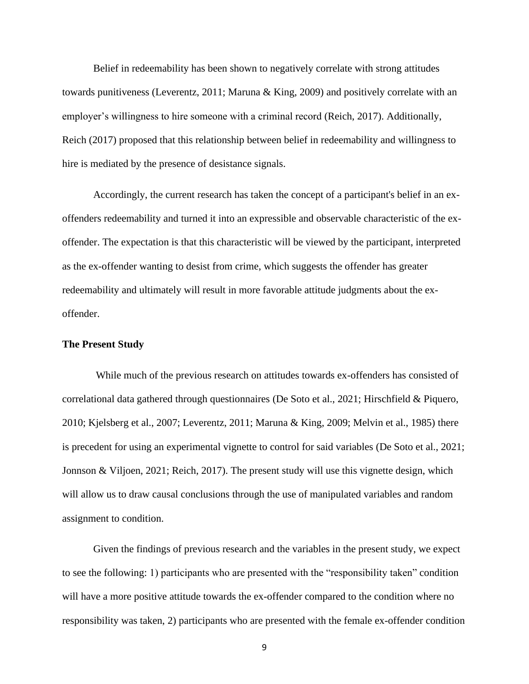Belief in redeemability has been shown to negatively correlate with strong attitudes towards punitiveness (Leverentz, 2011; Maruna & King, 2009) and positively correlate with an employer's willingness to hire someone with a criminal record (Reich, 2017). Additionally, Reich (2017) proposed that this relationship between belief in redeemability and willingness to hire is mediated by the presence of desistance signals.

Accordingly, the current research has taken the concept of a participant's belief in an exoffenders redeemability and turned it into an expressible and observable characteristic of the exoffender. The expectation is that this characteristic will be viewed by the participant, interpreted as the ex-offender wanting to desist from crime, which suggests the offender has greater redeemability and ultimately will result in more favorable attitude judgments about the exoffender.

#### **The Present Study**

While much of the previous research on attitudes towards ex-offenders has consisted of correlational data gathered through questionnaires (De Soto et al., 2021; Hirschfield & Piquero, 2010; Kjelsberg et al., 2007; Leverentz, 2011; Maruna & King, 2009; Melvin et al., 1985) there is precedent for using an experimental vignette to control for said variables (De Soto et al., 2021; Jonnson & Viljoen, 2021; Reich, 2017). The present study will use this vignette design, which will allow us to draw causal conclusions through the use of manipulated variables and random assignment to condition.

Given the findings of previous research and the variables in the present study, we expect to see the following: 1) participants who are presented with the "responsibility taken" condition will have a more positive attitude towards the ex-offender compared to the condition where no responsibility was taken, 2) participants who are presented with the female ex-offender condition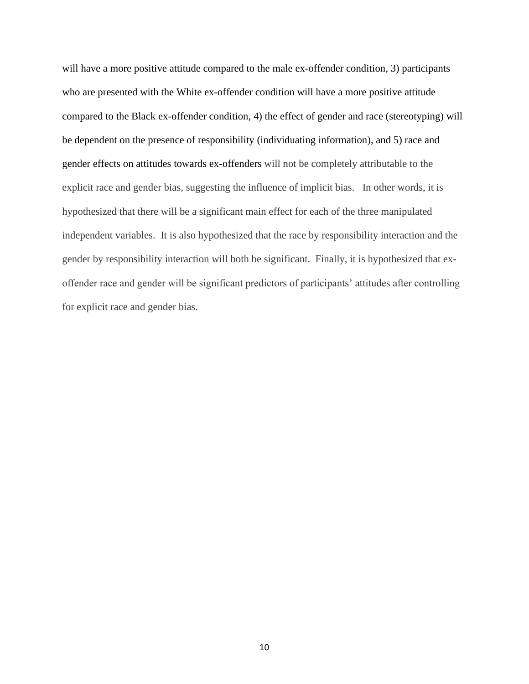will have a more positive attitude compared to the male ex-offender condition, 3) participants who are presented with the White ex-offender condition will have a more positive attitude compared to the Black ex-offender condition, 4) the effect of gender and race (stereotyping) will be dependent on the presence of responsibility (individuating information), and 5) race and gender effects on attitudes towards ex-offenders will not be completely attributable to the explicit race and gender bias, suggesting the influence of implicit bias. In other words, it is hypothesized that there will be a significant main effect for each of the three manipulated independent variables. It is also hypothesized that the race by responsibility interaction and the gender by responsibility interaction will both be significant. Finally, it is hypothesized that exoffender race and gender will be significant predictors of participants' attitudes after controlling for explicit race and gender bias.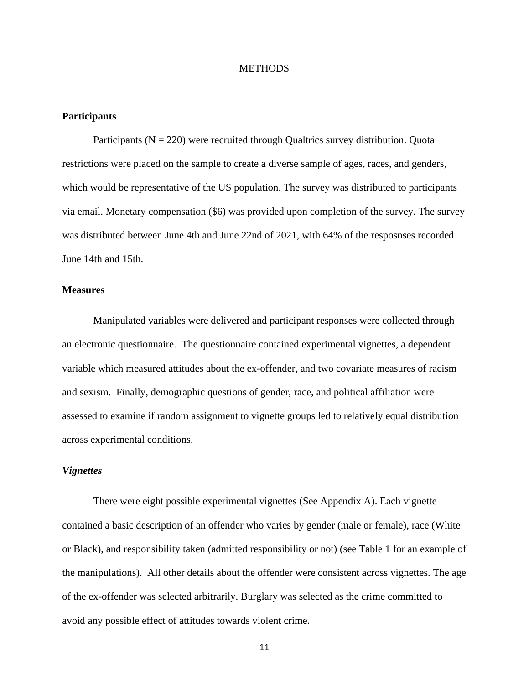#### **METHODS**

### **Participants**

Participants ( $N = 220$ ) were recruited through Qualtrics survey distribution. Quota restrictions were placed on the sample to create a diverse sample of ages, races, and genders, which would be representative of the US population. The survey was distributed to participants via email. Monetary compensation (\$6) was provided upon completion of the survey. The survey was distributed between June 4th and June 22nd of 2021, with 64% of the resposnses recorded June 14th and 15th.

## **Measures**

Manipulated variables were delivered and participant responses were collected through an electronic questionnaire. The questionnaire contained experimental vignettes, a dependent variable which measured attitudes about the ex-offender, and two covariate measures of racism and sexism. Finally, demographic questions of gender, race, and political affiliation were assessed to examine if random assignment to vignette groups led to relatively equal distribution across experimental conditions.

#### *Vignettes*

There were eight possible experimental vignettes (See Appendix A). Each vignette contained a basic description of an offender who varies by gender (male or female), race (White or Black), and responsibility taken (admitted responsibility or not) (see Table 1 for an example of the manipulations). All other details about the offender were consistent across vignettes. The age of the ex-offender was selected arbitrarily. Burglary was selected as the crime committed to avoid any possible effect of attitudes towards violent crime.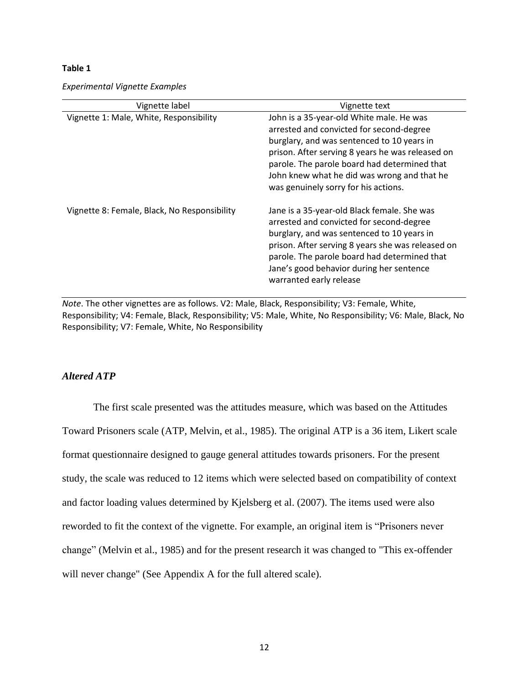#### **Table 1**

*Experimental Vignette Examples*

| Vignette label                               | Vignette text                                                                                                                                                                                                                                                                                                                 |
|----------------------------------------------|-------------------------------------------------------------------------------------------------------------------------------------------------------------------------------------------------------------------------------------------------------------------------------------------------------------------------------|
| Vignette 1: Male, White, Responsibility      | John is a 35-year-old White male. He was<br>arrested and convicted for second-degree<br>burglary, and was sentenced to 10 years in<br>prison. After serving 8 years he was released on<br>parole. The parole board had determined that<br>John knew what he did was wrong and that he<br>was genuinely sorry for his actions. |
| Vignette 8: Female, Black, No Responsibility | Jane is a 35-year-old Black female. She was<br>arrested and convicted for second-degree<br>burglary, and was sentenced to 10 years in<br>prison. After serving 8 years she was released on<br>parole. The parole board had determined that<br>Jane's good behavior during her sentence<br>warranted early release             |

*Note*. The other vignettes are as follows. V2: Male, Black, Responsibility; V3: Female, White, Responsibility; V4: Female, Black, Responsibility; V5: Male, White, No Responsibility; V6: Male, Black, No Responsibility; V7: Female, White, No Responsibility

## *Altered ATP*

The first scale presented was the attitudes measure, which was based on the Attitudes Toward Prisoners scale (ATP, Melvin, et al., 1985). The original ATP is a 36 item, Likert scale format questionnaire designed to gauge general attitudes towards prisoners. For the present study, the scale was reduced to 12 items which were selected based on compatibility of context and factor loading values determined by Kjelsberg et al. (2007). The items used were also reworded to fit the context of the vignette. For example, an original item is "Prisoners never change" (Melvin et al., 1985) and for the present research it was changed to "This ex-offender will never change" (See Appendix A for the full altered scale).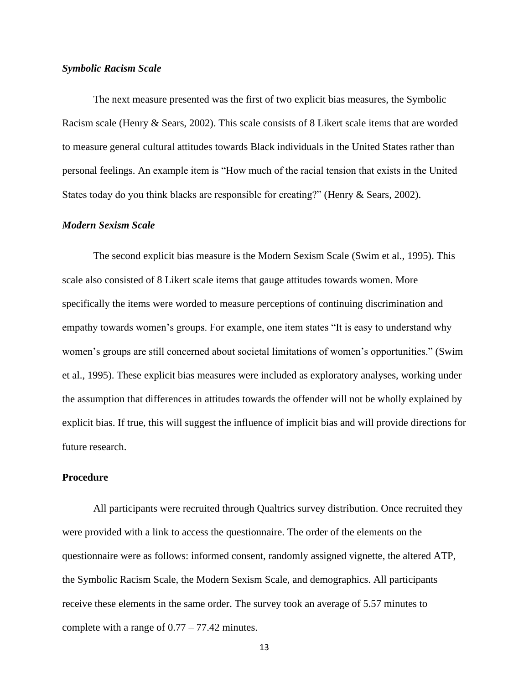#### *Symbolic Racism Scale*

The next measure presented was the first of two explicit bias measures, the Symbolic Racism scale (Henry & Sears, 2002). This scale consists of 8 Likert scale items that are worded to measure general cultural attitudes towards Black individuals in the United States rather than personal feelings. An example item is "How much of the racial tension that exists in the United States today do you think blacks are responsible for creating?" (Henry & Sears, 2002).

#### *Modern Sexism Scale*

The second explicit bias measure is the Modern Sexism Scale (Swim et al., 1995). This scale also consisted of 8 Likert scale items that gauge attitudes towards women. More specifically the items were worded to measure perceptions of continuing discrimination and empathy towards women's groups. For example, one item states "It is easy to understand why women's groups are still concerned about societal limitations of women's opportunities." (Swim et al., 1995). These explicit bias measures were included as exploratory analyses, working under the assumption that differences in attitudes towards the offender will not be wholly explained by explicit bias. If true, this will suggest the influence of implicit bias and will provide directions for future research.

### **Procedure**

All participants were recruited through Qualtrics survey distribution. Once recruited they were provided with a link to access the questionnaire. The order of the elements on the questionnaire were as follows: informed consent, randomly assigned vignette, the altered ATP, the Symbolic Racism Scale, the Modern Sexism Scale, and demographics. All participants receive these elements in the same order. The survey took an average of 5.57 minutes to complete with a range of 0.77 – 77.42 minutes.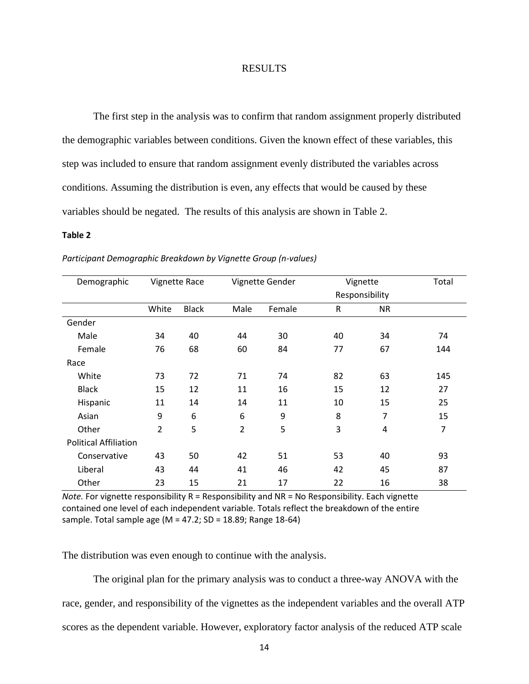#### RESULTS

The first step in the analysis was to confirm that random assignment properly distributed the demographic variables between conditions. Given the known effect of these variables, this step was included to ensure that random assignment evenly distributed the variables across conditions. Assuming the distribution is even, any effects that would be caused by these variables should be negated. The results of this analysis are shown in Table 2.

#### **Table 2**

| Demographic                  |       | <b>Vignette Race</b> | Vignette Gender |        | Vignette |                | Total |
|------------------------------|-------|----------------------|-----------------|--------|----------|----------------|-------|
|                              |       |                      |                 |        |          | Responsibility |       |
|                              | White | <b>Black</b>         | Male            | Female | R        | NR.            |       |
| Gender                       |       |                      |                 |        |          |                |       |
| Male                         | 34    | 40                   | 44              | 30     | 40       | 34             | 74    |
| Female                       | 76    | 68                   | 60              | 84     | 77       | 67             | 144   |
| Race                         |       |                      |                 |        |          |                |       |
| White                        | 73    | 72                   | 71              | 74     | 82       | 63             | 145   |
| <b>Black</b>                 | 15    | 12                   | 11              | 16     | 15       | 12             | 27    |
| Hispanic                     | 11    | 14                   | 14              | 11     | 10       | 15             | 25    |
| Asian                        | 9     | 6                    | 6               | 9      | 8        | $\overline{7}$ | 15    |
| Other                        | 2     | 5                    | $\overline{2}$  | 5      | 3        | 4              | 7     |
| <b>Political Affiliation</b> |       |                      |                 |        |          |                |       |
| Conservative                 | 43    | 50                   | 42              | 51     | 53       | 40             | 93    |
| Liberal                      | 43    | 44                   | 41              | 46     | 42       | 45             | 87    |
| Other                        | 23    | 15                   | 21              | 17     | 22       | 16             | 38    |

*Participant Demographic Breakdown by Vignette Group (n-values)*

*Note.* For vignette responsibility R = Responsibility and NR = No Responsibility. Each vignette contained one level of each independent variable. Totals reflect the breakdown of the entire sample. Total sample age (M = 47.2; SD = 18.89; Range 18-64)

The distribution was even enough to continue with the analysis.

The original plan for the primary analysis was to conduct a three-way ANOVA with the race, gender, and responsibility of the vignettes as the independent variables and the overall ATP scores as the dependent variable. However, exploratory factor analysis of the reduced ATP scale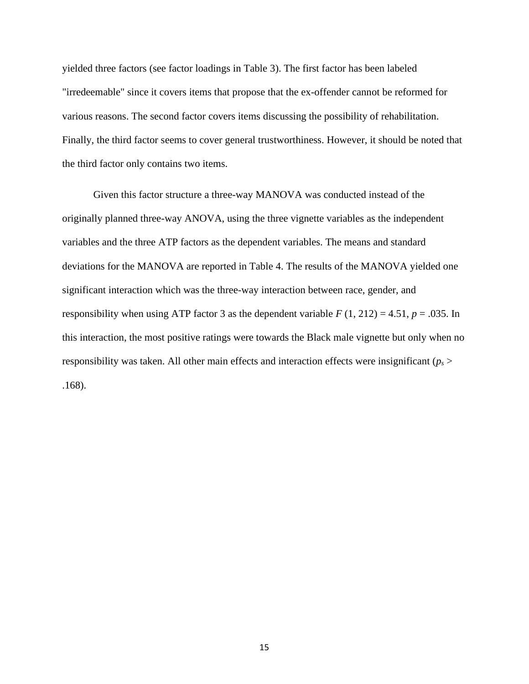yielded three factors (see factor loadings in Table 3). The first factor has been labeled "irredeemable" since it covers items that propose that the ex-offender cannot be reformed for various reasons. The second factor covers items discussing the possibility of rehabilitation. Finally, the third factor seems to cover general trustworthiness. However, it should be noted that the third factor only contains two items.

Given this factor structure a three-way MANOVA was conducted instead of the originally planned three-way ANOVA, using the three vignette variables as the independent variables and the three ATP factors as the dependent variables. The means and standard deviations for the MANOVA are reported in Table 4. The results of the MANOVA yielded one significant interaction which was the three-way interaction between race, gender, and responsibility when using ATP factor 3 as the dependent variable  $F(1, 212) = 4.51$ ,  $p = .035$ . In this interaction, the most positive ratings were towards the Black male vignette but only when no responsibility was taken. All other main effects and interaction effects were insignificant (*p<sup>s</sup>* > .168).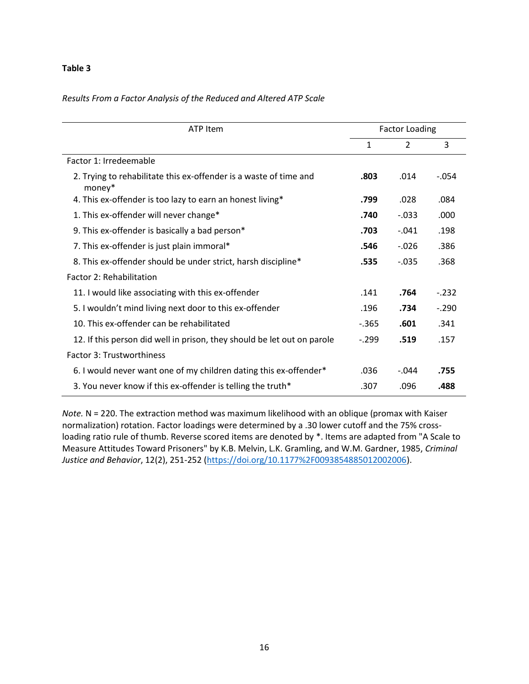#### **Table 3**

## *Results From a Factor Analysis of the Reduced and Altered ATP Scale*

| ATP Item                                                                    | <b>Factor Loading</b> |                |         |  |
|-----------------------------------------------------------------------------|-----------------------|----------------|---------|--|
|                                                                             | 1                     | $\overline{2}$ | 3       |  |
| Factor 1: Irredeemable                                                      |                       |                |         |  |
| 2. Trying to rehabilitate this ex-offender is a waste of time and<br>money* | .803                  | .014           | $-.054$ |  |
| 4. This ex-offender is too lazy to earn an honest living*                   | .799                  | .028           | .084    |  |
| 1. This ex-offender will never change*                                      | .740                  | $-.033$        | .000    |  |
| 9. This ex-offender is basically a bad person*                              | .703                  | $-.041$        | .198    |  |
| 7. This ex-offender is just plain immoral*                                  | .546                  | $-.026$        | .386    |  |
| 8. This ex-offender should be under strict, harsh discipline*               | .535                  | $-.035$        | .368    |  |
| Factor 2: Rehabilitation                                                    |                       |                |         |  |
| 11. I would like associating with this ex-offender                          | .141                  | .764           | $-232$  |  |
| 5. I wouldn't mind living next door to this ex-offender                     | .196                  | .734           | $-.290$ |  |
| 10. This ex-offender can be rehabilitated                                   | $-365$                | .601           | .341    |  |
| 12. If this person did well in prison, they should be let out on parole     | $-.299$               | .519           | .157    |  |
| Factor 3: Trustworthiness                                                   |                       |                |         |  |
| 6. I would never want one of my children dating this ex-offender*           | .036                  | $-.044$        | .755    |  |
| 3. You never know if this ex-offender is telling the truth*                 | .307                  | .096           | .488    |  |

*Note.* N = 220. The extraction method was maximum likelihood with an oblique (promax with Kaiser normalization) rotation. Factor loadings were determined by a .30 lower cutoff and the 75% crossloading ratio rule of thumb. Reverse scored items are denoted by \*. Items are adapted from "A Scale to Measure Attitudes Toward Prisoners" by K.B. Melvin, L.K. Gramling, and W.M. Gardner, 1985, *Criminal Justice and Behavior*, 12(2), 251-252 [\(https://doi.org/10.1177%2F0093854885012002006\)](https://doi.org/10.1177%2F0093854885012002006).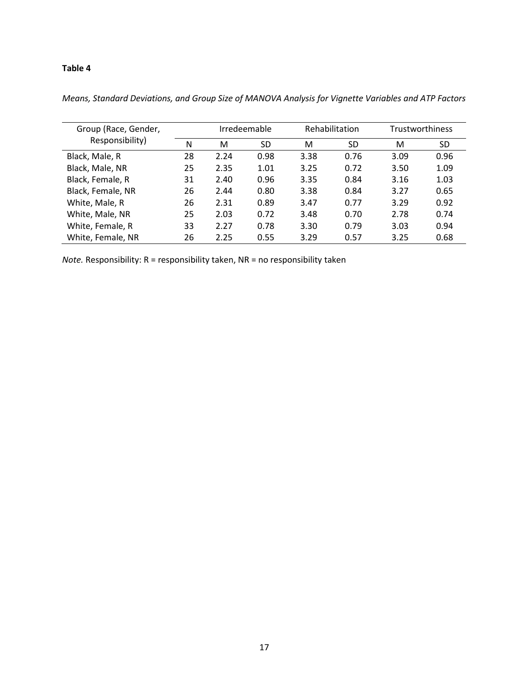## **Table 4**

| Group (Race, Gender,<br>Responsibility) | Irredeemable |      |      | Rehabilitation |      | <b>Trustworthiness</b> |           |
|-----------------------------------------|--------------|------|------|----------------|------|------------------------|-----------|
|                                         | N            | M    | SD   | м              | SD   | M                      | <b>SD</b> |
| Black, Male, R                          | 28           | 2.24 | 0.98 | 3.38           | 0.76 | 3.09                   | 0.96      |
| Black, Male, NR                         | 25           | 2.35 | 1.01 | 3.25           | 0.72 | 3.50                   | 1.09      |
| Black, Female, R                        | 31           | 2.40 | 0.96 | 3.35           | 0.84 | 3.16                   | 1.03      |
| Black, Female, NR                       | 26           | 2.44 | 0.80 | 3.38           | 0.84 | 3.27                   | 0.65      |
| White, Male, R                          | 26           | 2.31 | 0.89 | 3.47           | 0.77 | 3.29                   | 0.92      |
| White, Male, NR                         | 25           | 2.03 | 0.72 | 3.48           | 0.70 | 2.78                   | 0.74      |
| White, Female, R                        | 33           | 2.27 | 0.78 | 3.30           | 0.79 | 3.03                   | 0.94      |
| White, Female, NR                       | 26           | 2.25 | 0.55 | 3.29           | 0.57 | 3.25                   | 0.68      |

*Means, Standard Deviations, and Group Size of MANOVA Analysis for Vignette Variables and ATP Factors* 

*Note.* Responsibility: R = responsibility taken, NR = no responsibility taken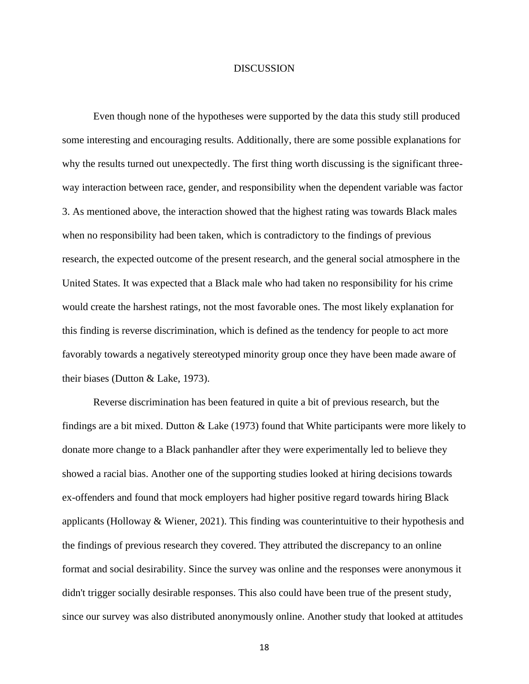#### **DISCUSSION**

Even though none of the hypotheses were supported by the data this study still produced some interesting and encouraging results. Additionally, there are some possible explanations for why the results turned out unexpectedly. The first thing worth discussing is the significant threeway interaction between race, gender, and responsibility when the dependent variable was factor 3. As mentioned above, the interaction showed that the highest rating was towards Black males when no responsibility had been taken, which is contradictory to the findings of previous research, the expected outcome of the present research, and the general social atmosphere in the United States. It was expected that a Black male who had taken no responsibility for his crime would create the harshest ratings, not the most favorable ones. The most likely explanation for this finding is reverse discrimination, which is defined as the tendency for people to act more favorably towards a negatively stereotyped minority group once they have been made aware of their biases (Dutton & Lake, 1973).

Reverse discrimination has been featured in quite a bit of previous research, but the findings are a bit mixed. Dutton & Lake (1973) found that White participants were more likely to donate more change to a Black panhandler after they were experimentally led to believe they showed a racial bias. Another one of the supporting studies looked at hiring decisions towards ex-offenders and found that mock employers had higher positive regard towards hiring Black applicants (Holloway  $\&$  Wiener, 2021). This finding was counterintuitive to their hypothesis and the findings of previous research they covered. They attributed the discrepancy to an online format and social desirability. Since the survey was online and the responses were anonymous it didn't trigger socially desirable responses. This also could have been true of the present study, since our survey was also distributed anonymously online. Another study that looked at attitudes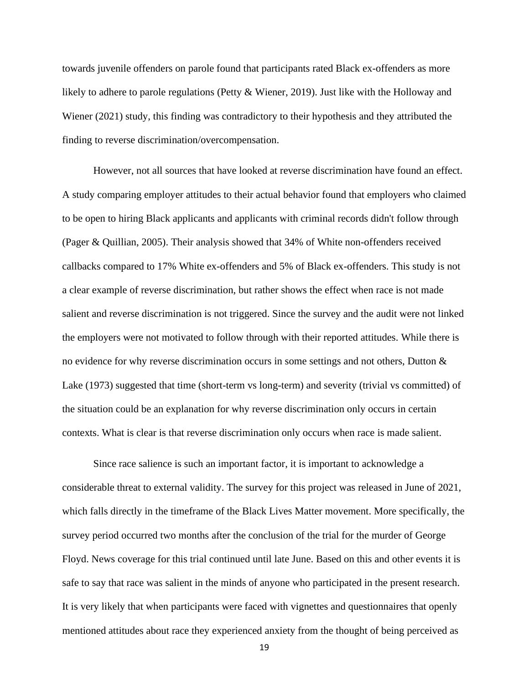towards juvenile offenders on parole found that participants rated Black ex-offenders as more likely to adhere to parole regulations (Petty & Wiener, 2019). Just like with the Holloway and Wiener (2021) study, this finding was contradictory to their hypothesis and they attributed the finding to reverse discrimination/overcompensation.

However, not all sources that have looked at reverse discrimination have found an effect. A study comparing employer attitudes to their actual behavior found that employers who claimed to be open to hiring Black applicants and applicants with criminal records didn't follow through (Pager & Quillian, 2005). Their analysis showed that 34% of White non-offenders received callbacks compared to 17% White ex-offenders and 5% of Black ex-offenders. This study is not a clear example of reverse discrimination, but rather shows the effect when race is not made salient and reverse discrimination is not triggered. Since the survey and the audit were not linked the employers were not motivated to follow through with their reported attitudes. While there is no evidence for why reverse discrimination occurs in some settings and not others, Dutton & Lake (1973) suggested that time (short-term vs long-term) and severity (trivial vs committed) of the situation could be an explanation for why reverse discrimination only occurs in certain contexts. What is clear is that reverse discrimination only occurs when race is made salient.

Since race salience is such an important factor, it is important to acknowledge a considerable threat to external validity. The survey for this project was released in June of 2021, which falls directly in the timeframe of the Black Lives Matter movement. More specifically, the survey period occurred two months after the conclusion of the trial for the murder of George Floyd. News coverage for this trial continued until late June. Based on this and other events it is safe to say that race was salient in the minds of anyone who participated in the present research. It is very likely that when participants were faced with vignettes and questionnaires that openly mentioned attitudes about race they experienced anxiety from the thought of being perceived as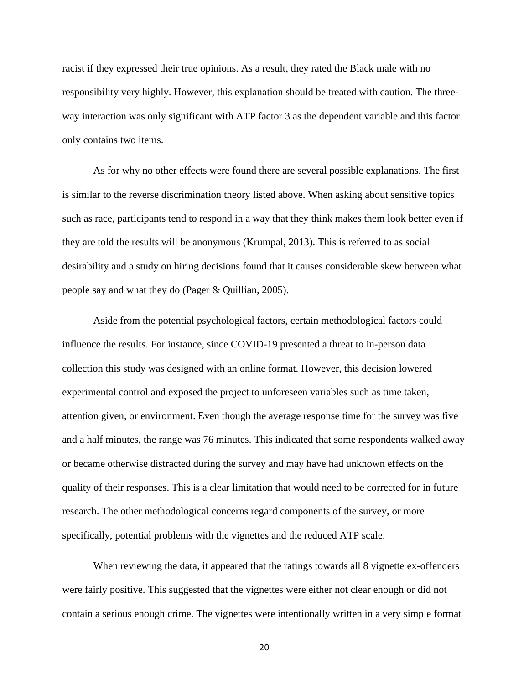racist if they expressed their true opinions. As a result, they rated the Black male with no responsibility very highly. However, this explanation should be treated with caution. The threeway interaction was only significant with ATP factor 3 as the dependent variable and this factor only contains two items.

As for why no other effects were found there are several possible explanations. The first is similar to the reverse discrimination theory listed above. When asking about sensitive topics such as race, participants tend to respond in a way that they think makes them look better even if they are told the results will be anonymous (Krumpal, 2013). This is referred to as social desirability and a study on hiring decisions found that it causes considerable skew between what people say and what they do (Pager & Quillian, 2005).

Aside from the potential psychological factors, certain methodological factors could influence the results. For instance, since COVID-19 presented a threat to in-person data collection this study was designed with an online format. However, this decision lowered experimental control and exposed the project to unforeseen variables such as time taken, attention given, or environment. Even though the average response time for the survey was five and a half minutes, the range was 76 minutes. This indicated that some respondents walked away or became otherwise distracted during the survey and may have had unknown effects on the quality of their responses. This is a clear limitation that would need to be corrected for in future research. The other methodological concerns regard components of the survey, or more specifically, potential problems with the vignettes and the reduced ATP scale.

When reviewing the data, it appeared that the ratings towards all 8 vignette ex-offenders were fairly positive. This suggested that the vignettes were either not clear enough or did not contain a serious enough crime. The vignettes were intentionally written in a very simple format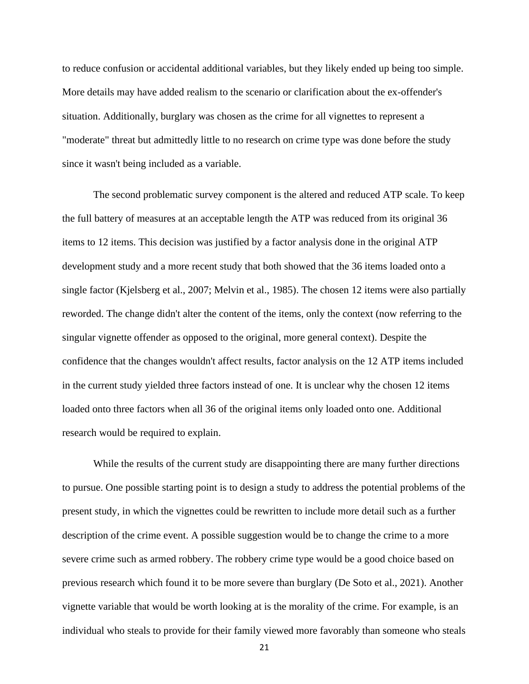to reduce confusion or accidental additional variables, but they likely ended up being too simple. More details may have added realism to the scenario or clarification about the ex-offender's situation. Additionally, burglary was chosen as the crime for all vignettes to represent a "moderate" threat but admittedly little to no research on crime type was done before the study since it wasn't being included as a variable.

The second problematic survey component is the altered and reduced ATP scale. To keep the full battery of measures at an acceptable length the ATP was reduced from its original 36 items to 12 items. This decision was justified by a factor analysis done in the original ATP development study and a more recent study that both showed that the 36 items loaded onto a single factor (Kjelsberg et al., 2007; Melvin et al., 1985). The chosen 12 items were also partially reworded. The change didn't alter the content of the items, only the context (now referring to the singular vignette offender as opposed to the original, more general context). Despite the confidence that the changes wouldn't affect results, factor analysis on the 12 ATP items included in the current study yielded three factors instead of one. It is unclear why the chosen 12 items loaded onto three factors when all 36 of the original items only loaded onto one. Additional research would be required to explain.

While the results of the current study are disappointing there are many further directions to pursue. One possible starting point is to design a study to address the potential problems of the present study, in which the vignettes could be rewritten to include more detail such as a further description of the crime event. A possible suggestion would be to change the crime to a more severe crime such as armed robbery. The robbery crime type would be a good choice based on previous research which found it to be more severe than burglary (De Soto et al., 2021). Another vignette variable that would be worth looking at is the morality of the crime. For example, is an individual who steals to provide for their family viewed more favorably than someone who steals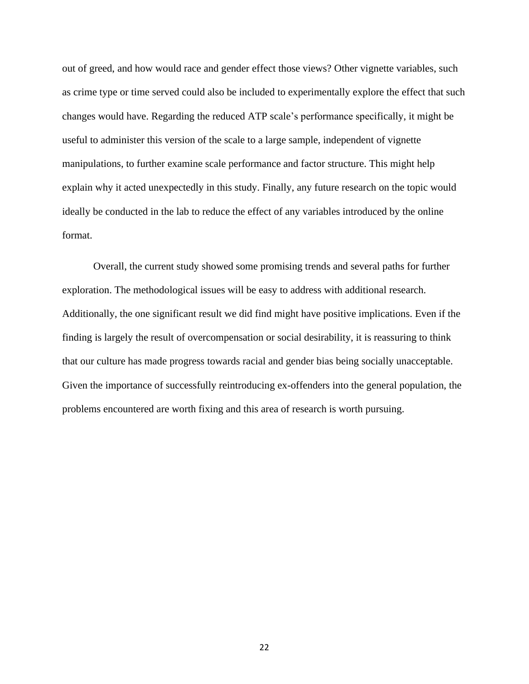out of greed, and how would race and gender effect those views? Other vignette variables, such as crime type or time served could also be included to experimentally explore the effect that such changes would have. Regarding the reduced ATP scale's performance specifically, it might be useful to administer this version of the scale to a large sample, independent of vignette manipulations, to further examine scale performance and factor structure. This might help explain why it acted unexpectedly in this study. Finally, any future research on the topic would ideally be conducted in the lab to reduce the effect of any variables introduced by the online format.

Overall, the current study showed some promising trends and several paths for further exploration. The methodological issues will be easy to address with additional research. Additionally, the one significant result we did find might have positive implications. Even if the finding is largely the result of overcompensation or social desirability, it is reassuring to think that our culture has made progress towards racial and gender bias being socially unacceptable. Given the importance of successfully reintroducing ex-offenders into the general population, the problems encountered are worth fixing and this area of research is worth pursuing.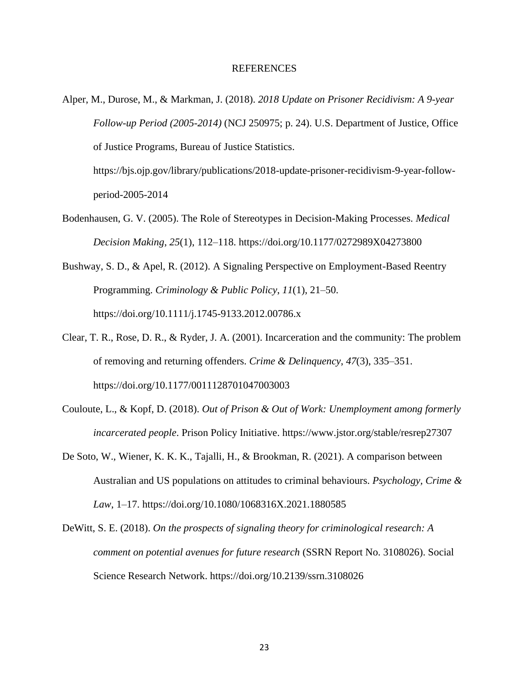#### REFERENCES

Alper, M., Durose, M., & Markman, J. (2018). *2018 Update on Prisoner Recidivism: A 9-year Follow-up Period (2005-2014)* (NCJ 250975; p. 24). U.S. Department of Justice, Office of Justice Programs, Bureau of Justice Statistics. https://bjs.ojp.gov/library/publications/2018-update-prisoner-recidivism-9-year-follow-

period-2005-2014

- Bodenhausen, G. V. (2005). The Role of Stereotypes in Decision-Making Processes. *Medical Decision Making*, *25*(1), 112–118. https://doi.org/10.1177/0272989X04273800
- Bushway, S. D., & Apel, R. (2012). A Signaling Perspective on Employment-Based Reentry Programming. *Criminology & Public Policy*, *11*(1), 21–50. https://doi.org/10.1111/j.1745-9133.2012.00786.x
- Clear, T. R., Rose, D. R., & Ryder, J. A. (2001). Incarceration and the community: The problem of removing and returning offenders. *Crime & Delinquency*, *47*(3), 335–351. https://doi.org/10.1177/0011128701047003003
- Couloute, L., & Kopf, D. (2018). *Out of Prison & Out of Work: Unemployment among formerly incarcerated people*. Prison Policy Initiative. https://www.jstor.org/stable/resrep27307
- De Soto, W., Wiener, K. K. K., Tajalli, H., & Brookman, R. (2021). A comparison between Australian and US populations on attitudes to criminal behaviours. *Psychology, Crime & Law*, 1–17. https://doi.org/10.1080/1068316X.2021.1880585
- DeWitt, S. E. (2018). *On the prospects of signaling theory for criminological research: A comment on potential avenues for future research* (SSRN Report No. 3108026). Social Science Research Network. https://doi.org/10.2139/ssrn.3108026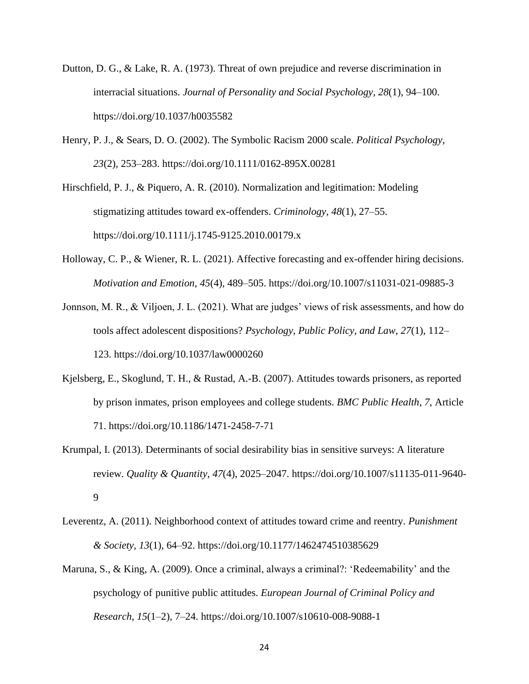- Dutton, D. G., & Lake, R. A. (1973). Threat of own prejudice and reverse discrimination in interracial situations. *Journal of Personality and Social Psychology*, *28*(1), 94–100. https://doi.org/10.1037/h0035582
- Henry, P. J., & Sears, D. O. (2002). The Symbolic Racism 2000 scale. *Political Psychology*, *23*(2), 253–283. https://doi.org/10.1111/0162-895X.00281

Hirschfield, P. J., & Piquero, A. R. (2010). Normalization and legitimation: Modeling stigmatizing attitudes toward ex-offenders. *Criminology*, *48*(1), 27–55. https://doi.org/10.1111/j.1745-9125.2010.00179.x

- Holloway, C. P., & Wiener, R. L. (2021). Affective forecasting and ex-offender hiring decisions. *Motivation and Emotion*, *45*(4), 489–505. https://doi.org/10.1007/s11031-021-09885-3
- Jonnson, M. R., & Viljoen, J. L. (2021). What are judges' views of risk assessments, and how do tools affect adolescent dispositions? *Psychology, Public Policy, and Law*, *27*(1), 112– 123. https://doi.org/10.1037/law0000260
- Kjelsberg, E., Skoglund, T. H., & Rustad, A.-B. (2007). Attitudes towards prisoners, as reported by prison inmates, prison employees and college students. *BMC Public Health*, *7*, Article 71. https://doi.org/10.1186/1471-2458-7-71
- Krumpal, I. (2013). Determinants of social desirability bias in sensitive surveys: A literature review. *Quality & Quantity*, *47*(4), 2025–2047. https://doi.org/10.1007/s11135-011-9640- 9
- Leverentz, A. (2011). Neighborhood context of attitudes toward crime and reentry. *Punishment & Society*, *13*(1), 64–92. https://doi.org/10.1177/1462474510385629
- Maruna, S., & King, A. (2009). Once a criminal, always a criminal?: 'Redeemability' and the psychology of punitive public attitudes. *European Journal of Criminal Policy and Research*, *15*(1–2), 7–24. https://doi.org/10.1007/s10610-008-9088-1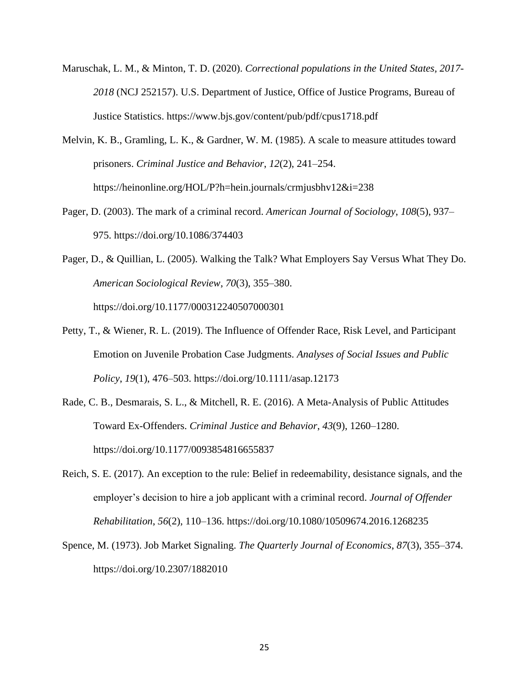- Maruschak, L. M., & Minton, T. D. (2020). *Correctional populations in the United States, 2017- 2018* (NCJ 252157). U.S. Department of Justice, Office of Justice Programs, Bureau of Justice Statistics. https://www.bjs.gov/content/pub/pdf/cpus1718.pdf
- Melvin, K. B., Gramling, L. K., & Gardner, W. M. (1985). A scale to measure attitudes toward prisoners. *Criminal Justice and Behavior*, *12*(2), 241–254. https://heinonline.org/HOL/P?h=hein.journals/crmjusbhv12&i=238
- Pager, D. (2003). The mark of a criminal record. *American Journal of Sociology*, *108*(5), 937– 975. https://doi.org/10.1086/374403
- Pager, D., & Quillian, L. (2005). Walking the Talk? What Employers Say Versus What They Do. *American Sociological Review*, *70*(3), 355–380. https://doi.org/10.1177/000312240507000301
- Petty, T., & Wiener, R. L. (2019). The Influence of Offender Race, Risk Level, and Participant Emotion on Juvenile Probation Case Judgments. *Analyses of Social Issues and Public Policy*, *19*(1), 476–503. https://doi.org/10.1111/asap.12173
- Rade, C. B., Desmarais, S. L., & Mitchell, R. E. (2016). A Meta-Analysis of Public Attitudes Toward Ex-Offenders. *Criminal Justice and Behavior*, *43*(9), 1260–1280. https://doi.org/10.1177/0093854816655837
- Reich, S. E. (2017). An exception to the rule: Belief in redeemability, desistance signals, and the employer's decision to hire a job applicant with a criminal record. *Journal of Offender Rehabilitation*, *56*(2), 110–136. https://doi.org/10.1080/10509674.2016.1268235
- Spence, M. (1973). Job Market Signaling. *The Quarterly Journal of Economics*, *87*(3), 355–374. https://doi.org/10.2307/1882010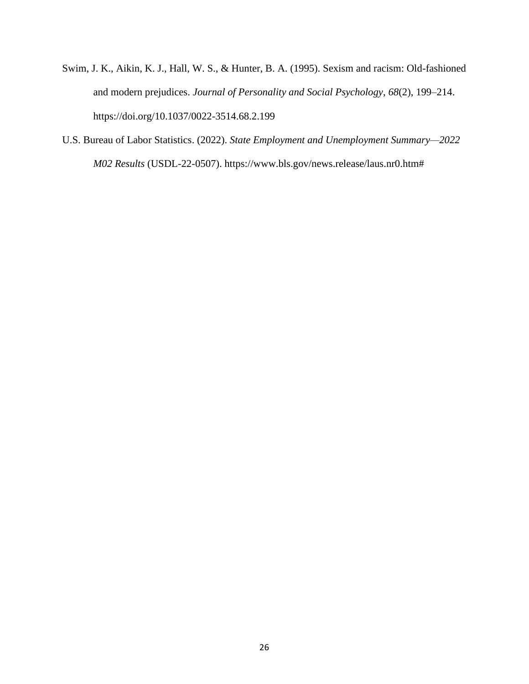- Swim, J. K., Aikin, K. J., Hall, W. S., & Hunter, B. A. (1995). Sexism and racism: Old-fashioned and modern prejudices. *Journal of Personality and Social Psychology*, *68*(2), 199–214. https://doi.org/10.1037/0022-3514.68.2.199
- U.S. Bureau of Labor Statistics. (2022). *State Employment and Unemployment Summary—2022 M02 Results* (USDL-22-0507). https://www.bls.gov/news.release/laus.nr0.htm#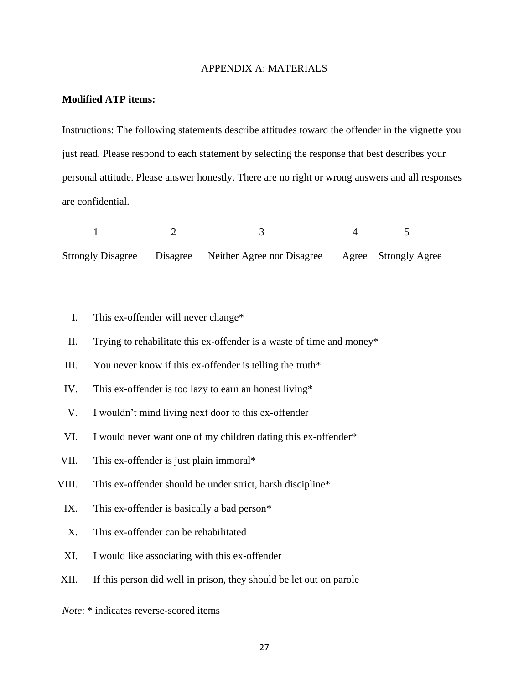#### APPENDIX A: MATERIALS

#### **Modified ATP items:**

Instructions: The following statements describe attitudes toward the offender in the vignette you just read. Please respond to each statement by selecting the response that best describes your personal attitude. Please answer honestly. There are no right or wrong answers and all responses are confidential.

1 2 3 4 5 Strongly Disagree Disagree Neither Agree nor Disagree Agree Strongly Agree

- I. This ex-offender will never change\*
- II. Trying to rehabilitate this ex-offender is a waste of time and money\*
- III. You never know if this ex-offender is telling the truth $*$
- IV. This ex-offender is too lazy to earn an honest living\*
- V. I wouldn't mind living next door to this ex-offender
- VI. I would never want one of my children dating this ex-offender\*
- VII. This ex-offender is just plain immoral\*
- VIII. This ex-offender should be under strict, harsh discipline\*
	- IX. This ex-offender is basically a bad person\*
	- X. This ex-offender can be rehabilitated
	- XI. I would like associating with this ex-offender
- XII. If this person did well in prison, they should be let out on parole

*Note*: \* indicates reverse-scored items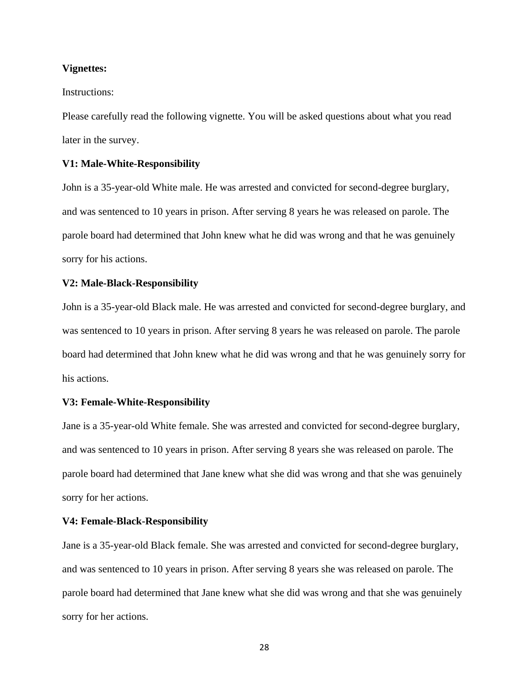#### **Vignettes:**

#### Instructions:

Please carefully read the following vignette. You will be asked questions about what you read later in the survey.

#### **V1: Male-White-Responsibility**

John is a 35-year-old White male. He was arrested and convicted for second-degree burglary, and was sentenced to 10 years in prison. After serving 8 years he was released on parole. The parole board had determined that John knew what he did was wrong and that he was genuinely sorry for his actions.

#### **V2: Male-Black-Responsibility**

John is a 35-year-old Black male. He was arrested and convicted for second-degree burglary, and was sentenced to 10 years in prison. After serving 8 years he was released on parole. The parole board had determined that John knew what he did was wrong and that he was genuinely sorry for his actions.

#### **V3: Female-White-Responsibility**

Jane is a 35-year-old White female. She was arrested and convicted for second-degree burglary, and was sentenced to 10 years in prison. After serving 8 years she was released on parole. The parole board had determined that Jane knew what she did was wrong and that she was genuinely sorry for her actions.

#### **V4: Female-Black-Responsibility**

Jane is a 35-year-old Black female. She was arrested and convicted for second-degree burglary, and was sentenced to 10 years in prison. After serving 8 years she was released on parole. The parole board had determined that Jane knew what she did was wrong and that she was genuinely sorry for her actions.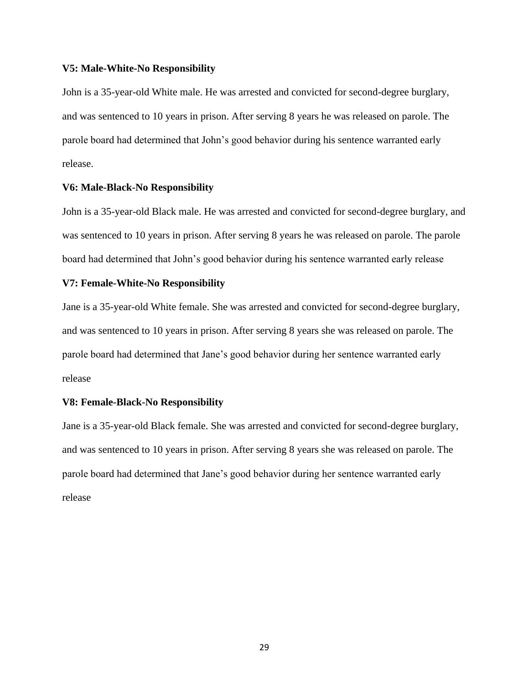#### **V5: Male-White-No Responsibility**

John is a 35-year-old White male. He was arrested and convicted for second-degree burglary, and was sentenced to 10 years in prison. After serving 8 years he was released on parole. The parole board had determined that John's good behavior during his sentence warranted early release.

#### **V6: Male-Black-No Responsibility**

John is a 35-year-old Black male. He was arrested and convicted for second-degree burglary, and was sentenced to 10 years in prison. After serving 8 years he was released on parole. The parole board had determined that John's good behavior during his sentence warranted early release

#### **V7: Female-White-No Responsibility**

Jane is a 35-year-old White female. She was arrested and convicted for second-degree burglary, and was sentenced to 10 years in prison. After serving 8 years she was released on parole. The parole board had determined that Jane's good behavior during her sentence warranted early release

#### **V8: Female-Black-No Responsibility**

Jane is a 35-year-old Black female. She was arrested and convicted for second-degree burglary, and was sentenced to 10 years in prison. After serving 8 years she was released on parole. The parole board had determined that Jane's good behavior during her sentence warranted early release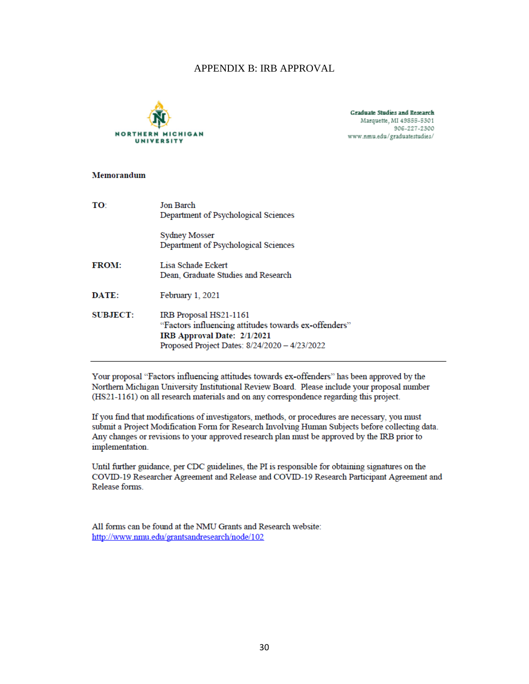## APPENDIX B: IRB APPROVAL



Graduate Studies and Research Marquette, MI 49855-5301 906-227-2300 www.nmu.edu/graduatestudies/

#### Memorandum

| TO:             | <b>Jon Barch</b><br>Department of Psychological Sciences                                                                                                       |
|-----------------|----------------------------------------------------------------------------------------------------------------------------------------------------------------|
|                 | <b>Sydney Mosser</b><br>Department of Psychological Sciences                                                                                                   |
| <b>FROM:</b>    | Lisa Schade Eckert<br>Dean, Graduate Studies and Research                                                                                                      |
| DATE:           | February 1, 2021                                                                                                                                               |
| <b>SUBJECT:</b> | IRB Proposal HS21-1161<br>"Factors influencing attitudes towards ex-offenders"<br>IRB Approval Date: 2/1/2021<br>Proposed Project Dates: 8/24/2020 - 4/23/2022 |

Your proposal "Factors influencing attitudes towards ex-offenders" has been approved by the Northern Michigan University Institutional Review Board. Please include your proposal number (HS21-1161) on all research materials and on any correspondence regarding this project.

If you find that modifications of investigators, methods, or procedures are necessary, you must submit a Project Modification Form for Research Involving Human Subjects before collecting data. Any changes or revisions to your approved research plan must be approved by the IRB prior to implementation.

Until further guidance, per CDC guidelines, the PI is responsible for obtaining signatures on the COVID-19 Researcher Agreement and Release and COVID-19 Research Participant Agreement and Release forms

All forms can be found at the NMU Grants and Research website: http://www.nmu.edu/grantsandresearch/node/102